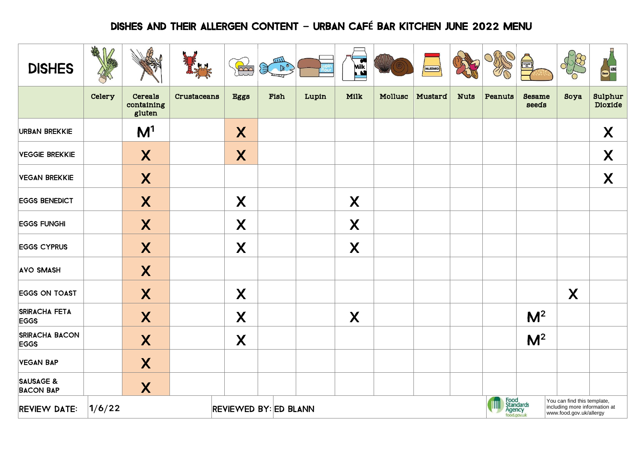## DISHES AND THEIR ALLERGEN CONTENT **–** URBAN CAF**É** BAR KITCHEN JUNE 2022 MENU

| <b>DISHES</b>                            | AR     |                                 |             | $\sum_{i=1}^{n}$             | $\begin{picture}(120,115) \put(0,0){\line(1,0){15}} \put(15,0){\line(1,0){15}} \put(15,0){\line(1,0){15}} \put(15,0){\line(1,0){15}} \put(15,0){\line(1,0){15}} \put(15,0){\line(1,0){15}} \put(15,0){\line(1,0){15}} \put(15,0){\line(1,0){15}} \put(15,0){\line(1,0){15}} \put(15,0){\line(1,0){15}} \put(15,0){\line(1,0){15}} \put(15,0){\line$ |       | Milk <sub>a</sub> |         | MUSTARD |             |         | SESAME<br>DESCRIPTION                                                                                                  |                  | Beer WINE          |  |
|------------------------------------------|--------|---------------------------------|-------------|------------------------------|-----------------------------------------------------------------------------------------------------------------------------------------------------------------------------------------------------------------------------------------------------------------------------------------------------------------------------------------------------|-------|-------------------|---------|---------|-------------|---------|------------------------------------------------------------------------------------------------------------------------|------------------|--------------------|--|
|                                          | Celery | Cereals<br>containing<br>gluten | Crustaceans | <b>Eggs</b>                  | Fish                                                                                                                                                                                                                                                                                                                                                | Lupin | Milk              | Mollusc | Mustard | <b>Nuts</b> | Peanuts | <b>Sesame</b><br>seeds                                                                                                 | Soya             | Sulphur<br>Dioxide |  |
| <b>URBAN BREKKIE</b>                     |        | M <sup>1</sup>                  |             | X                            |                                                                                                                                                                                                                                                                                                                                                     |       |                   |         |         |             |         |                                                                                                                        |                  | X                  |  |
| <b>VEGGIE BREKKIE</b>                    |        | X                               |             | $\boldsymbol{X}$             |                                                                                                                                                                                                                                                                                                                                                     |       |                   |         |         |             |         |                                                                                                                        |                  | X                  |  |
| <b>VEGAN BREKKIE</b>                     |        | $\boldsymbol{X}$                |             |                              |                                                                                                                                                                                                                                                                                                                                                     |       |                   |         |         |             |         |                                                                                                                        |                  | $\boldsymbol{X}$   |  |
| <b>EGGS BENEDICT</b>                     |        | X                               |             | X                            |                                                                                                                                                                                                                                                                                                                                                     |       | X                 |         |         |             |         |                                                                                                                        |                  |                    |  |
| <b>EGGS FUNGHI</b>                       |        | X                               |             | X                            |                                                                                                                                                                                                                                                                                                                                                     |       | X                 |         |         |             |         |                                                                                                                        |                  |                    |  |
| <b>EGGS CYPRUS</b>                       |        | X                               |             | $\boldsymbol{X}$             |                                                                                                                                                                                                                                                                                                                                                     |       | X                 |         |         |             |         |                                                                                                                        |                  |                    |  |
| <b>AVO SMASH</b>                         |        | X                               |             |                              |                                                                                                                                                                                                                                                                                                                                                     |       |                   |         |         |             |         |                                                                                                                        |                  |                    |  |
| <b>EGGS ON TOAST</b>                     |        | X                               |             | X                            |                                                                                                                                                                                                                                                                                                                                                     |       |                   |         |         |             |         |                                                                                                                        | $\boldsymbol{X}$ |                    |  |
| <b>SRIRACHA FETA</b><br><b>EGGS</b>      |        | X                               |             | X                            |                                                                                                                                                                                                                                                                                                                                                     |       | X                 |         |         |             |         | M <sup>2</sup>                                                                                                         |                  |                    |  |
| <b>SRIRACHA BACON</b><br><b>EGGS</b>     |        | X                               |             | X                            |                                                                                                                                                                                                                                                                                                                                                     |       |                   |         |         |             |         | M <sup>2</sup>                                                                                                         |                  |                    |  |
| <b>VEGAN BAP</b>                         |        | X                               |             |                              |                                                                                                                                                                                                                                                                                                                                                     |       |                   |         |         |             |         |                                                                                                                        |                  |                    |  |
| <b>SAUSAGE &amp;</b><br><b>BACON BAP</b> |        | X                               |             |                              |                                                                                                                                                                                                                                                                                                                                                     |       |                   |         |         |             |         |                                                                                                                        |                  |                    |  |
| <b>REVIEW DATE:</b>                      | 1/6/22 |                                 |             | <b>REVIEWED BY: ED BLANN</b> |                                                                                                                                                                                                                                                                                                                                                     |       |                   |         |         |             |         | Food<br>Standards<br>Agency<br>You can find this template,<br>including more information at<br>www.food.gov.uk/allergy |                  |                    |  |